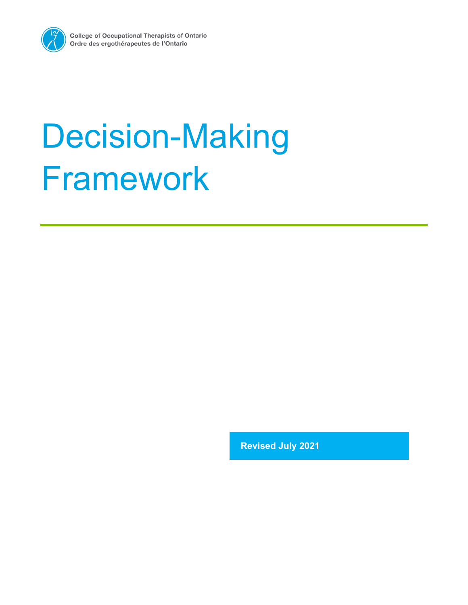

# Decision-Making Framework

**Revised July 2021**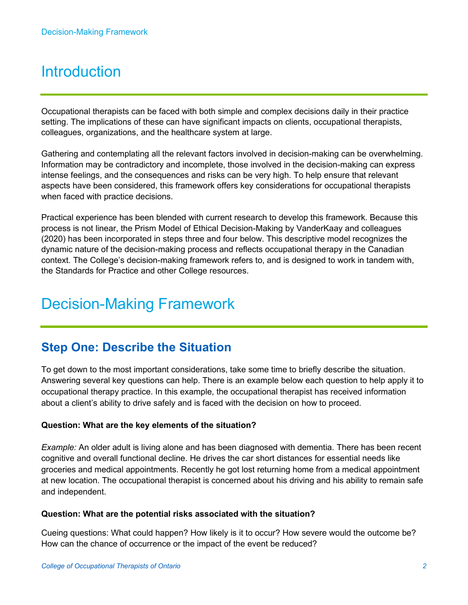# **Introduction**

Occupational therapists can be faced with both simple and complex decisions daily in their practice setting. The implications of these can have significant impacts on clients, occupational therapists, colleagues, organizations, and the healthcare system at large.

Gathering and contemplating all the relevant factors involved in decision-making can be overwhelming. Information may be contradictory and incomplete, those involved in the decision-making can express intense feelings, and the consequences and risks can be very high. To help ensure that relevant aspects have been considered, this framework offers key considerations for occupational therapists when faced with practice decisions.

Practical experience has been blended with current research to develop this framework. Because this process is not linear, the Prism Model of Ethical Decision-Making by VanderKaay and colleagues (2020) has been incorporated in steps three and four below. This descriptive model recognizes the dynamic nature of the decision-making process and reflects occupational therapy in the Canadian context. The College's decision-making framework refers to, and is designed to work in tandem with, the Standards for Practice and other College resources.

# Decision-Making Framework

## **Step One: Describe the Situation**

To get down to the most important considerations, take some time to briefly describe the situation. Answering several key questions can help. There is an example below each question to help apply it to occupational therapy practice. In this example, the occupational therapist has received information about a client's ability to drive safely and is faced with the decision on how to proceed.

#### **Question: What are the key elements of the situation?**

*Example:* An older adult is living alone and has been diagnosed with dementia. There has been recent cognitive and overall functional decline. He drives the car short distances for essential needs like groceries and medical appointments. Recently he got lost returning home from a medical appointment at new location. The occupational therapist is concerned about his driving and his ability to remain safe and independent.

#### **Question: What are the potential risks associated with the situation?**

Cueing questions: What could happen? How likely is it to occur? How severe would the outcome be? How can the chance of occurrence or the impact of the event be reduced?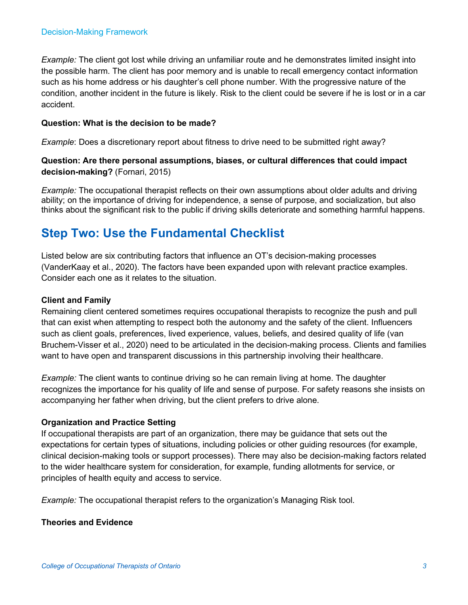*Example:* The client got lost while driving an unfamiliar route and he demonstrates limited insight into the possible harm. The client has poor memory and is unable to recall emergency contact information such as his home address or his daughter's cell phone number. With the progressive nature of the condition, another incident in the future is likely. Risk to the client could be severe if he is lost or in a car accident.

#### **Question: What is the decision to be made?**

*Example*: Does a discretionary report about fitness to drive need to be submitted right away?

#### **Question: Are there personal assumptions, biases, or cultural differences that could impact decision-making?** (Fornari, 2015)

*Example:* The occupational therapist reflects on their own assumptions about older adults and driving ability; on the importance of driving for independence, a sense of purpose, and socialization, but also thinks about the significant risk to the public if driving skills deteriorate and something harmful happens.

## **Step Two: Use the Fundamental Checklist**

Listed below are six contributing factors that influence an OT's decision-making processes (VanderKaay et al., 2020). The factors have been expanded upon with relevant practice examples. Consider each one as it relates to the situation.

#### **Client and Family**

Remaining client centered sometimes requires occupational therapists to recognize the push and pull that can exist when attempting to respect both the autonomy and the safety of the client. Influencers such as client goals, preferences, lived experience, values, beliefs, and desired quality of life (van Bruchem-Visser et al., 2020) need to be articulated in the decision-making process. Clients and families want to have open and transparent discussions in this partnership involving their healthcare.

*Example:* The client wants to continue driving so he can remain living at home. The daughter recognizes the importance for his quality of life and sense of purpose. For safety reasons she insists on accompanying her father when driving, but the client prefers to drive alone.

#### **Organization and Practice Setting**

If occupational therapists are part of an organization, there may be guidance that sets out the expectations for certain types of situations, including policies or other guiding resources (for example, clinical decision-making tools or support processes). There may also be decision-making factors related to the wider healthcare system for consideration, for example, funding allotments for service, or principles of health equity and access to service.

*Example:* The occupational therapist refers to the organization's Managing Risk tool.

#### **Theories and Evidence**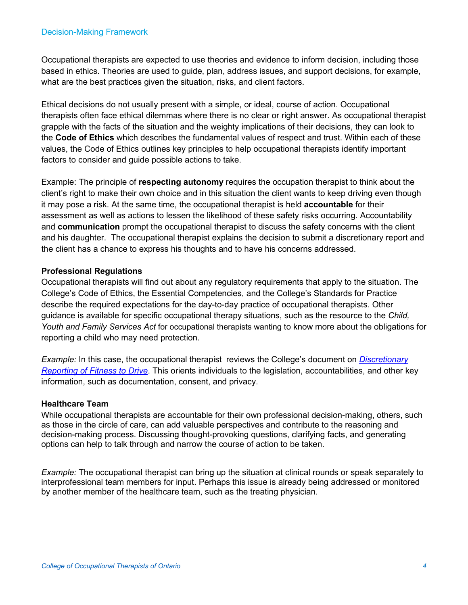Occupational therapists are expected to use theories and evidence to inform decision, including those based in ethics. Theories are used to guide, plan, address issues, and support decisions, for example, what are the best practices given the situation, risks, and client factors.

Ethical decisions do not usually present with a simple, or ideal, course of action. Occupational therapists often face ethical dilemmas where there is no clear or right answer. As occupational therapist grapple with the facts of the situation and the weighty implications of their decisions, they can look to the **Code of Ethics** which describes the fundamental values of respect and trust. Within each of these values, the Code of Ethics outlines key principles to help occupational therapists identify important factors to consider and guide possible actions to take.

Example: The principle of **respecting autonomy** requires the occupation therapist to think about the client's right to make their own choice and in this situation the client wants to keep driving even though it may pose a risk. At the same time, the occupational therapist is held **accountable** for their assessment as well as actions to lessen the likelihood of these safety risks occurring. Accountability and **communication** prompt the occupational therapist to discuss the safety concerns with the client and his daughter. The occupational therapist explains the decision to submit a discretionary report and the client has a chance to express his thoughts and to have his concerns addressed.

#### **Professional Regulations**

Occupational therapists will find out about any regulatory requirements that apply to the situation. The College's Code of Ethics, the Essential Competencies, and the College's Standards for Practice describe the required expectations for the day-to-day practice of occupational therapists. Other guidance is available for specific occupational therapy situations, such as the resource to the *Child, Youth and Family Services Act* for occupational therapists wanting to know more about the obligations for reporting a child who may need protection.

*Example:* In this case, the occupational therapist reviews the College's document on *[Discretionary](https://www.coto.org/resources/details/discretionary-reporting-of-fitness-to-drive)  [Reporting of Fitness to Drive](https://www.coto.org/resources/details/discretionary-reporting-of-fitness-to-drive)*. This orients individuals to the legislation, accountabilities, and other key information, such as documentation, consent, and privacy.

#### **Healthcare Team**

While occupational therapists are accountable for their own professional decision-making, others, such as those in the circle of care, can add valuable perspectives and contribute to the reasoning and decision-making process. Discussing thought-provoking questions, clarifying facts, and generating options can help to talk through and narrow the course of action to be taken.

*Example:* The occupational therapist can bring up the situation at clinical rounds or speak separately to interprofessional team members for input. Perhaps this issue is already being addressed or monitored by another member of the healthcare team, such as the treating physician.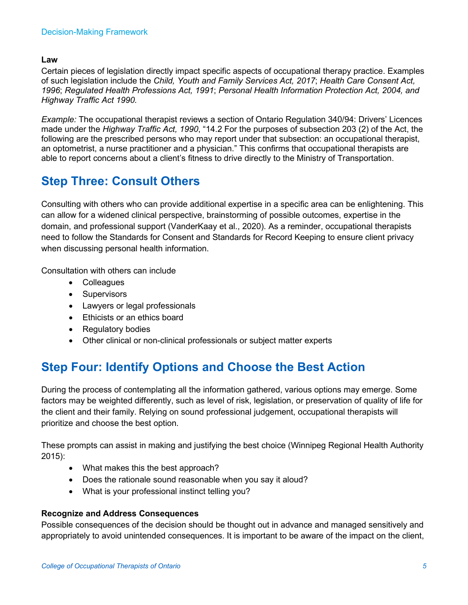#### **Law**

Certain pieces of legislation directly impact specific aspects of occupational therapy practice. Examples of such legislation include the *Child, Youth and Family Services Act, 2017*; *Health Care Consent Act, 1996*; *Regulated Health Professions Act, 1991*; *Personal Health Information Protection Act, 2004, and Highway Traffic Act 1990.* 

*Example:* The occupational therapist reviews a section of Ontario Regulation 340/94: Drivers' Licences made under the *Highway Traffic Act, 1990*, "14.2 For the purposes of subsection 203 (2) of the Act, the following are the prescribed persons who may report under that subsection: an occupational therapist, an optometrist, a nurse practitioner and a physician." This confirms that occupational therapists are able to report concerns about a client's fitness to drive directly to the Ministry of Transportation.

## **Step Three: Consult Others**

Consulting with others who can provide additional expertise in a specific area can be enlightening. This can allow for a widened clinical perspective, brainstorming of possible outcomes, expertise in the domain, and professional support (VanderKaay et al., 2020). As a reminder, occupational therapists need to follow the Standards for Consent and Standards for Record Keeping to ensure client privacy when discussing personal health information.

Consultation with others can include

- Colleagues
- Supervisors
- Lawyers or legal professionals
- Ethicists or an ethics board
- Regulatory bodies
- Other clinical or non-clinical professionals or subject matter experts

## **Step Four: Identify Options and Choose the Best Action**

During the process of contemplating all the information gathered, various options may emerge. Some factors may be weighted differently, such as level of risk, legislation, or preservation of quality of life for the client and their family. Relying on sound professional judgement, occupational therapists will prioritize and choose the best option.

These prompts can assist in making and justifying the best choice (Winnipeg Regional Health Authority 2015):

- What makes this the best approach?
- Does the rationale sound reasonable when you say it aloud?
- What is your professional instinct telling you?

#### **Recognize and Address Consequences**

Possible consequences of the decision should be thought out in advance and managed sensitively and appropriately to avoid unintended consequences. It is important to be aware of the impact on the client,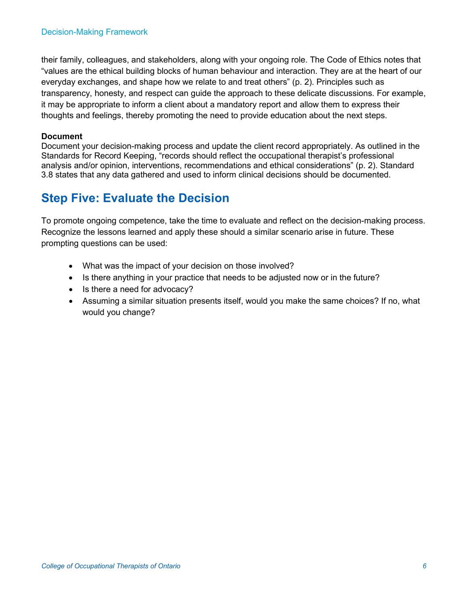their family, colleagues, and stakeholders, along with your ongoing role. The Code of Ethics notes that "values are the ethical building blocks of human behaviour and interaction. They are at the heart of our everyday exchanges, and shape how we relate to and treat others" (p. 2). Principles such as transparency, honesty, and respect can guide the approach to these delicate discussions. For example, it may be appropriate to inform a client about a mandatory report and allow them to express their thoughts and feelings, thereby promoting the need to provide education about the next steps.

#### **Document**

Document your decision-making process and update the client record appropriately. As outlined in the Standards for Record Keeping, "records should reflect the occupational therapist's professional analysis and/or opinion, interventions, recommendations and ethical considerations" (p. 2). Standard 3.8 states that any data gathered and used to inform clinical decisions should be documented.

## **Step Five: Evaluate the Decision**

To promote ongoing competence, take the time to evaluate and reflect on the decision-making process. Recognize the lessons learned and apply these should a similar scenario arise in future. These prompting questions can be used:

- What was the impact of your decision on those involved?
- Is there anything in your practice that needs to be adjusted now or in the future?
- Is there a need for advocacy?
- Assuming a similar situation presents itself, would you make the same choices? If no, what would you change?